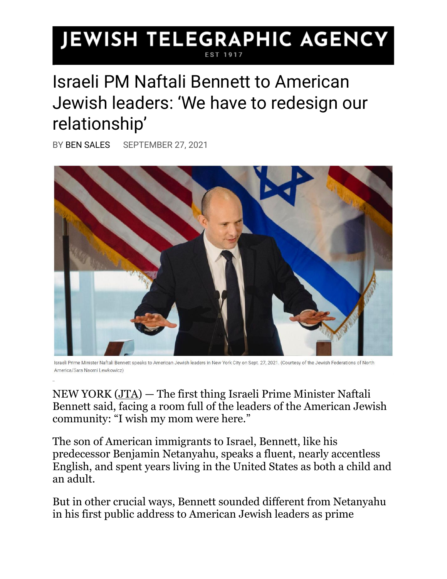## JEWISH TELEGRAPHIC AGENCY

## Israeli PM Naftali Bennett to American Jewish leaders: 'We have to redesign our relationship'

BY [BEN SALES](https://www.jta.org/author/ben-sales) SEPTEMBER 27, 2021



Israeli Prime Minister Naftali Bennett speaks to American Jewish leaders in New York City on Sept. 27, 2021. (Courtesy of the Jewish Federations of North America/Sara Naomi Lewkowicz)

NEW YORK [\(JTA\)](http://www.jta.org/) — The first thing Israeli Prime Minister Naftali Bennett said, facing a room full of the leaders of the American Jewish community: "I wish my mom were here."

The son of American immigrants to Israel, Bennett, like his predecessor Benjamin Netanyahu, speaks a fluent, nearly accentless English, and spent years living in the United States as both a child and an adult.

But in other crucial ways, Bennett sounded different from Netanyahu in his first public address to American Jewish leaders as prime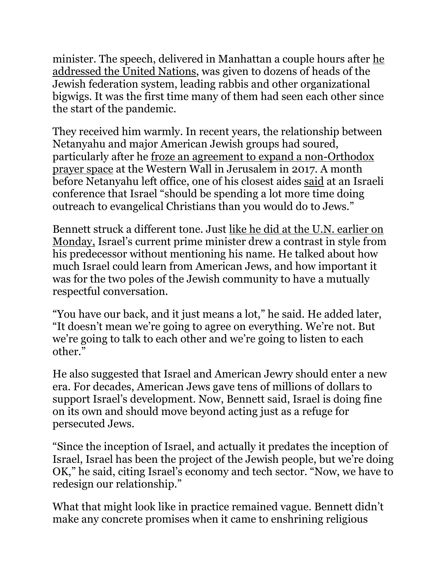minister. The speech, delivered in Manhattan a couple hours after [he](https://www.jta.org/2021/09/27/israel/in-first-un-speech-naftali-bennett-strikes-different-tone-than-netanyahu)  [addressed the United Nations,](https://www.jta.org/2021/09/27/israel/in-first-un-speech-naftali-bennett-strikes-different-tone-than-netanyahu) was given to dozens of heads of the Jewish federation system, leading rabbis and other organizational bigwigs. It was the first time many of them had seen each other since the start of the pandemic.

They received him warmly. In recent years, the relationship between Netanyahu and major American Jewish groups had soured, particularly after he [froze an agreement to expand a non-Orthodox](https://www.jta.org/2017/06/25/united-states/suspension-of-western-wall-deal-leaves-jewish-leaders-feeling-betrayed)  [prayer space](https://www.jta.org/2017/06/25/united-states/suspension-of-western-wall-deal-leaves-jewish-leaders-feeling-betrayed) at the Western Wall in Jerusalem in 2017. A month before Netanyahu left office, one of his closest aides [said](https://www.haaretz.com/us-news/.premium-israel-should-focus-outreach-on-evangelicals-not-u-s-jews-former-envoy-says-1.9790303) at an Israeli conference that Israel "should be spending a lot more time doing outreach to evangelical Christians than you would do to Jews."

Bennett struck a different tone. Just [like he did at the U.N. earlier on](https://www.jta.org/2021/09/27/israel/in-first-un-speech-naftali-bennett-strikes-different-tone-than-netanyahu)  [Monday,](https://www.jta.org/2021/09/27/israel/in-first-un-speech-naftali-bennett-strikes-different-tone-than-netanyahu) Israel's current prime minister drew a contrast in style from his predecessor without mentioning his name. He talked about how much Israel could learn from American Jews, and how important it was for the two poles of the Jewish community to have a mutually respectful conversation.

"You have our back, and it just means a lot," he said. He added later, "It doesn't mean we're going to agree on everything. We're not. But we're going to talk to each other and we're going to listen to each other."

He also suggested that Israel and American Jewry should enter a new era. For decades, American Jews gave tens of millions of dollars to support Israel's development. Now, Bennett said, Israel is doing fine on its own and should move beyond acting just as a refuge for persecuted Jews.

"Since the inception of Israel, and actually it predates the inception of Israel, Israel has been the project of the Jewish people, but we're doing OK," he said, citing Israel's economy and tech sector. "Now, we have to redesign our relationship."

What that might look like in practice remained vague. Bennett didn't make any concrete promises when it came to enshrining religious